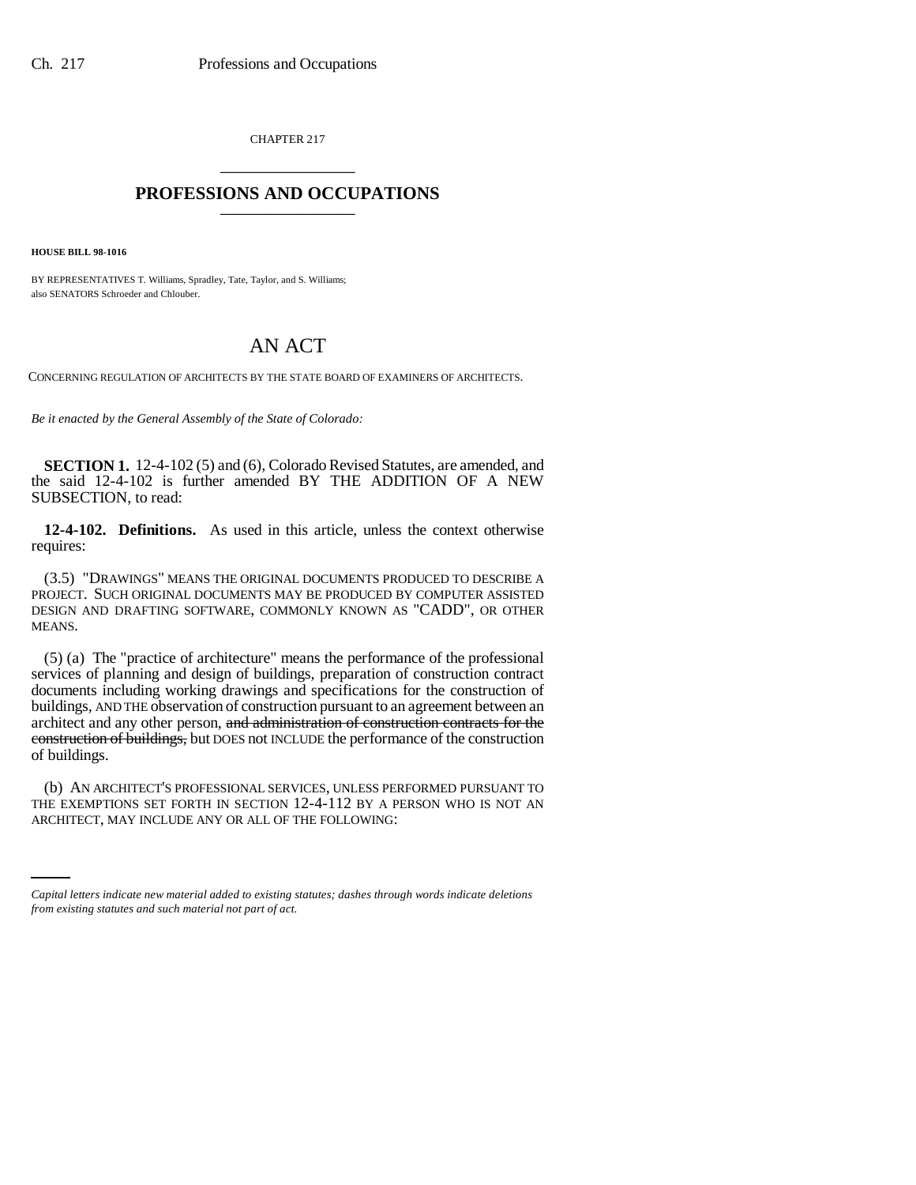CHAPTER 217 \_\_\_\_\_\_\_\_\_\_\_\_\_\_\_

## **PROFESSIONS AND OCCUPATIONS** \_\_\_\_\_\_\_\_\_\_\_\_\_\_\_

**HOUSE BILL 98-1016**

BY REPRESENTATIVES T. Williams, Spradley, Tate, Taylor, and S. Williams; also SENATORS Schroeder and Chlouber.

## AN ACT

CONCERNING REGULATION OF ARCHITECTS BY THE STATE BOARD OF EXAMINERS OF ARCHITECTS.

*Be it enacted by the General Assembly of the State of Colorado:*

**SECTION 1.** 12-4-102 (5) and (6), Colorado Revised Statutes, are amended, and the said 12-4-102 is further amended BY THE ADDITION OF A NEW SUBSECTION, to read:

**12-4-102. Definitions.** As used in this article, unless the context otherwise requires:

(3.5) "DRAWINGS" MEANS THE ORIGINAL DOCUMENTS PRODUCED TO DESCRIBE A PROJECT. SUCH ORIGINAL DOCUMENTS MAY BE PRODUCED BY COMPUTER ASSISTED DESIGN AND DRAFTING SOFTWARE, COMMONLY KNOWN AS "CADD", OR OTHER MEANS.

(5) (a) The "practice of architecture" means the performance of the professional services of planning and design of buildings, preparation of construction contract documents including working drawings and specifications for the construction of buildings, AND THE observation of construction pursuant to an agreement between an architect and any other person, and administration of construction contracts for the construction of buildings, but DOES not INCLUDE the performance of the construction of buildings.

THE EXEMPTIONS SET FORTH IN SECTION 12-4-112 BY A PERSON WHO IS NOT AN (b) AN ARCHITECT'S PROFESSIONAL SERVICES, UNLESS PERFORMED PURSUANT TO ARCHITECT, MAY INCLUDE ANY OR ALL OF THE FOLLOWING:

*Capital letters indicate new material added to existing statutes; dashes through words indicate deletions from existing statutes and such material not part of act.*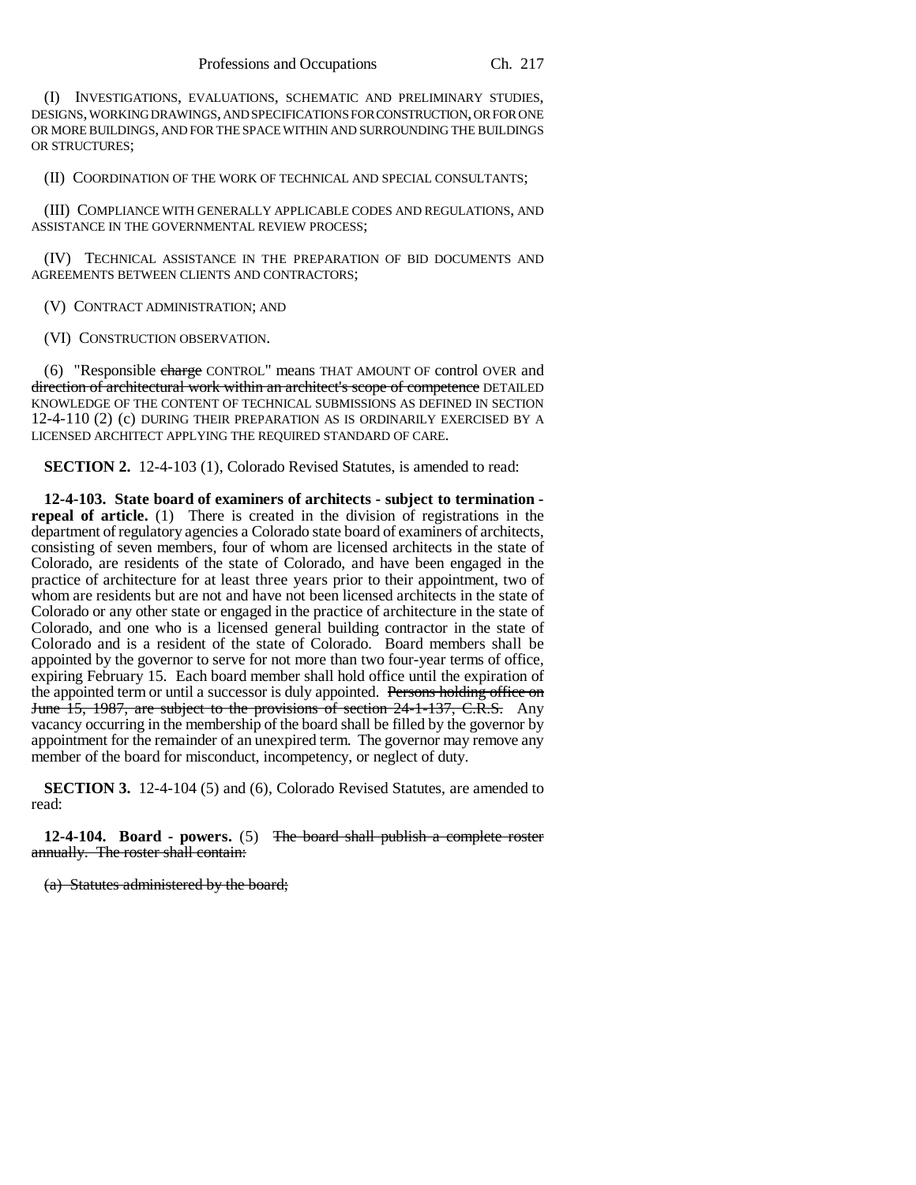(I) INVESTIGATIONS, EVALUATIONS, SCHEMATIC AND PRELIMINARY STUDIES, DESIGNS, WORKING DRAWINGS, AND SPECIFICATIONS FOR CONSTRUCTION, OR FOR ONE OR MORE BUILDINGS, AND FOR THE SPACE WITHIN AND SURROUNDING THE BUILDINGS OR STRUCTURES;

(II) COORDINATION OF THE WORK OF TECHNICAL AND SPECIAL CONSULTANTS;

(III) COMPLIANCE WITH GENERALLY APPLICABLE CODES AND REGULATIONS, AND ASSISTANCE IN THE GOVERNMENTAL REVIEW PROCESS;

(IV) TECHNICAL ASSISTANCE IN THE PREPARATION OF BID DOCUMENTS AND AGREEMENTS BETWEEN CLIENTS AND CONTRACTORS;

(V) CONTRACT ADMINISTRATION; AND

(VI) CONSTRUCTION OBSERVATION.

(6) "Responsible charge CONTROL" means THAT AMOUNT OF control OVER and direction of architectural work within an architect's scope of competence DETAILED KNOWLEDGE OF THE CONTENT OF TECHNICAL SUBMISSIONS AS DEFINED IN SECTION 12-4-110 (2) (c) DURING THEIR PREPARATION AS IS ORDINARILY EXERCISED BY A LICENSED ARCHITECT APPLYING THE REQUIRED STANDARD OF CARE.

**SECTION 2.** 12-4-103 (1), Colorado Revised Statutes, is amended to read:

**12-4-103. State board of examiners of architects - subject to termination repeal of article.** (1) There is created in the division of registrations in the department of regulatory agencies a Colorado state board of examiners of architects, consisting of seven members, four of whom are licensed architects in the state of Colorado, are residents of the state of Colorado, and have been engaged in the practice of architecture for at least three years prior to their appointment, two of whom are residents but are not and have not been licensed architects in the state of Colorado or any other state or engaged in the practice of architecture in the state of Colorado, and one who is a licensed general building contractor in the state of Colorado and is a resident of the state of Colorado. Board members shall be appointed by the governor to serve for not more than two four-year terms of office, expiring February 15. Each board member shall hold office until the expiration of the appointed term or until a successor is duly appointed. Persons holding office on June 15, 1987, are subject to the provisions of section 24-1-137, C.R.S. Any vacancy occurring in the membership of the board shall be filled by the governor by appointment for the remainder of an unexpired term. The governor may remove any member of the board for misconduct, incompetency, or neglect of duty.

**SECTION 3.** 12-4-104 (5) and (6), Colorado Revised Statutes, are amended to read:

**12-4-104. Board - powers.** (5) The board shall publish a complete roster annually. The roster shall contain:

(a) Statutes administered by the board;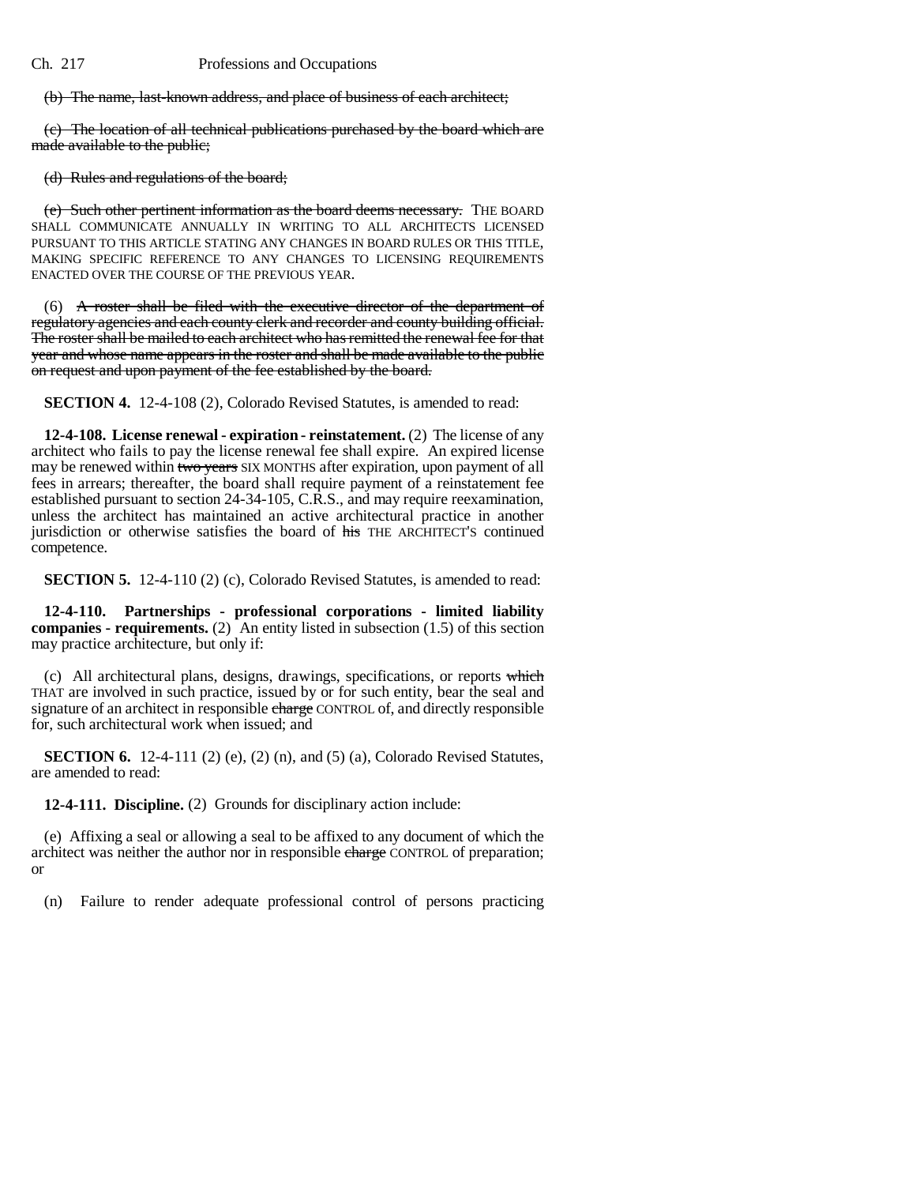(b) The name, last-known address, and place of business of each architect;

(c) The location of all technical publications purchased by the board which are made available to the public;

(d) Rules and regulations of the board;

(e) Such other pertinent information as the board deems necessary. THE BOARD SHALL COMMUNICATE ANNUALLY IN WRITING TO ALL ARCHITECTS LICENSED PURSUANT TO THIS ARTICLE STATING ANY CHANGES IN BOARD RULES OR THIS TITLE, MAKING SPECIFIC REFERENCE TO ANY CHANGES TO LICENSING REQUIREMENTS ENACTED OVER THE COURSE OF THE PREVIOUS YEAR.

 $(6)$  A roster shall be filed with the executive director of the department of regulatory agencies and each county clerk and recorder and county building official. The roster shall be mailed to each architect who has remitted the renewal fee for that year and whose name appears in the roster and shall be made available to the public on request and upon payment of the fee established by the board.

**SECTION 4.** 12-4-108 (2), Colorado Revised Statutes, is amended to read:

**12-4-108. License renewal - expiration - reinstatement.** (2) The license of any architect who fails to pay the license renewal fee shall expire. An expired license may be renewed within two years SIX MONTHS after expiration, upon payment of all fees in arrears; thereafter, the board shall require payment of a reinstatement fee established pursuant to section 24-34-105, C.R.S., and may require reexamination, unless the architect has maintained an active architectural practice in another jurisdiction or otherwise satisfies the board of his THE ARCHITECT'S continued competence.

**SECTION 5.** 12-4-110 (2) (c), Colorado Revised Statutes, is amended to read:

**12-4-110. Partnerships - professional corporations - limited liability companies - requirements.** (2) An entity listed in subsection (1.5) of this section may practice architecture, but only if:

(c) All architectural plans, designs, drawings, specifications, or reports which THAT are involved in such practice, issued by or for such entity, bear the seal and signature of an architect in responsible charge CONTROL of, and directly responsible for, such architectural work when issued; and

**SECTION 6.** 12-4-111 (2) (e), (2) (n), and (5) (a), Colorado Revised Statutes, are amended to read:

**12-4-111. Discipline.** (2) Grounds for disciplinary action include:

(e) Affixing a seal or allowing a seal to be affixed to any document of which the architect was neither the author nor in responsible charge CONTROL of preparation; or

(n) Failure to render adequate professional control of persons practicing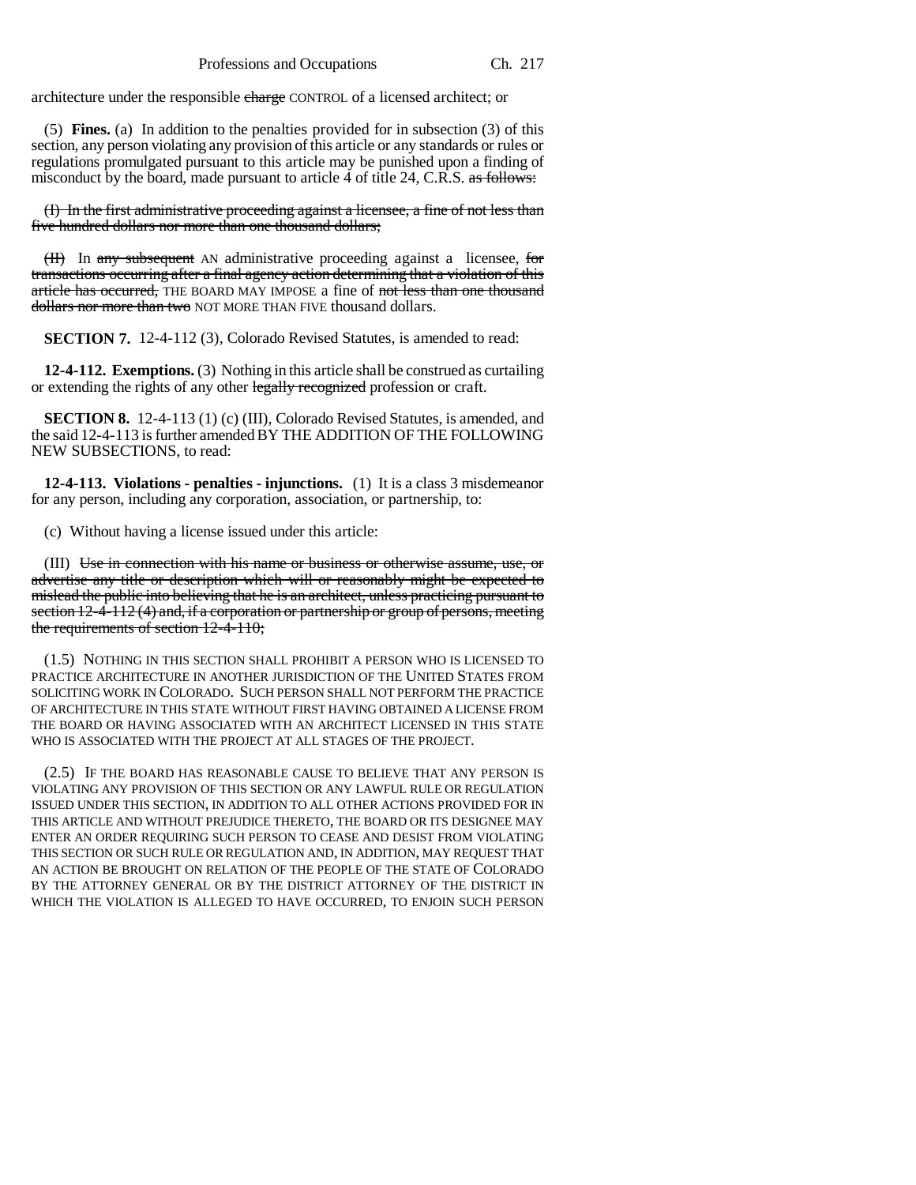architecture under the responsible charge CONTROL of a licensed architect; or

(5) **Fines.** (a) In addition to the penalties provided for in subsection (3) of this section, any person violating any provision of this article or any standards or rules or regulations promulgated pursuant to this article may be punished upon a finding of misconduct by the board, made pursuant to article 4 of title 24, C.R.S. as follows:

(I) In the first administrative proceeding against a licensee, a fine of not less than five hundred dollars nor more than one thousand dollars;

(II) In any subsequent AN administrative proceeding against a licensee, for transactions occurring after a final agency action determining that a violation of this article has occurred, THE BOARD MAY IMPOSE a fine of not less than one thousand dollars nor more than two NOT MORE THAN FIVE thousand dollars.

**SECTION 7.** 12-4-112 (3), Colorado Revised Statutes, is amended to read:

**12-4-112. Exemptions.** (3) Nothing in this article shall be construed as curtailing or extending the rights of any other legally recognized profession or craft.

**SECTION 8.** 12-4-113 (1) (c) (III), Colorado Revised Statutes, is amended, and the said 12-4-113 is further amended BY THE ADDITION OF THE FOLLOWING NEW SUBSECTIONS, to read:

**12-4-113. Violations - penalties - injunctions.** (1) It is a class 3 misdemeanor for any person, including any corporation, association, or partnership, to:

(c) Without having a license issued under this article:

(III) Use in connection with his name or business or otherwise assume, use, or advertise any title or description which will or reasonably might be expected to mislead the public into believing that he is an architect, unless practicing pursuant to section 12-4-112 (4) and, if a corporation or partnership or group of persons, meeting the requirements of section 12-4-110;

(1.5) NOTHING IN THIS SECTION SHALL PROHIBIT A PERSON WHO IS LICENSED TO PRACTICE ARCHITECTURE IN ANOTHER JURISDICTION OF THE UNITED STATES FROM SOLICITING WORK IN COLORADO. SUCH PERSON SHALL NOT PERFORM THE PRACTICE OF ARCHITECTURE IN THIS STATE WITHOUT FIRST HAVING OBTAINED A LICENSE FROM THE BOARD OR HAVING ASSOCIATED WITH AN ARCHITECT LICENSED IN THIS STATE WHO IS ASSOCIATED WITH THE PROJECT AT ALL STAGES OF THE PROJECT.

(2.5) IF THE BOARD HAS REASONABLE CAUSE TO BELIEVE THAT ANY PERSON IS VIOLATING ANY PROVISION OF THIS SECTION OR ANY LAWFUL RULE OR REGULATION ISSUED UNDER THIS SECTION, IN ADDITION TO ALL OTHER ACTIONS PROVIDED FOR IN THIS ARTICLE AND WITHOUT PREJUDICE THERETO, THE BOARD OR ITS DESIGNEE MAY ENTER AN ORDER REQUIRING SUCH PERSON TO CEASE AND DESIST FROM VIOLATING THIS SECTION OR SUCH RULE OR REGULATION AND, IN ADDITION, MAY REQUEST THAT AN ACTION BE BROUGHT ON RELATION OF THE PEOPLE OF THE STATE OF COLORADO BY THE ATTORNEY GENERAL OR BY THE DISTRICT ATTORNEY OF THE DISTRICT IN WHICH THE VIOLATION IS ALLEGED TO HAVE OCCURRED, TO ENJOIN SUCH PERSON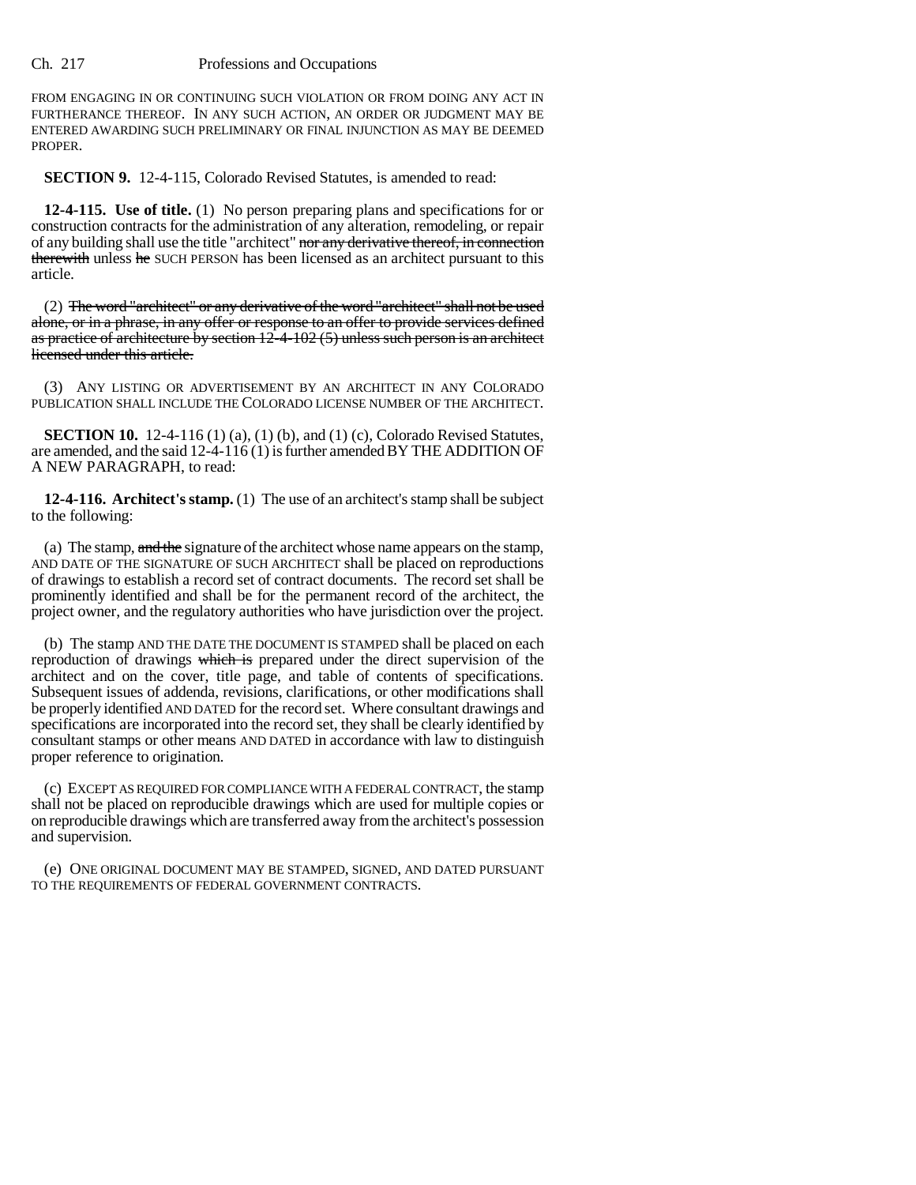## Ch. 217 Professions and Occupations

FROM ENGAGING IN OR CONTINUING SUCH VIOLATION OR FROM DOING ANY ACT IN FURTHERANCE THEREOF. IN ANY SUCH ACTION, AN ORDER OR JUDGMENT MAY BE ENTERED AWARDING SUCH PRELIMINARY OR FINAL INJUNCTION AS MAY BE DEEMED PROPER.

**SECTION 9.** 12-4-115, Colorado Revised Statutes, is amended to read:

**12-4-115. Use of title.** (1) No person preparing plans and specifications for or construction contracts for the administration of any alteration, remodeling, or repair of any building shall use the title "architect" nor any derivative thereof, in connection therewith unless he SUCH PERSON has been licensed as an architect pursuant to this article.

(2) The word "architect" or any derivative of the word "architect" shall not be used alone, or in a phrase, in any offer or response to an offer to provide services defined as practice of architecture by section  $12-4-102(5)$  unless such person is an architect licensed under this article.

(3) ANY LISTING OR ADVERTISEMENT BY AN ARCHITECT IN ANY COLORADO PUBLICATION SHALL INCLUDE THE COLORADO LICENSE NUMBER OF THE ARCHITECT.

**SECTION 10.** 12-4-116 (1) (a), (1) (b), and (1) (c), Colorado Revised Statutes, are amended, and the said 12-4-116 (1) is further amended BY THE ADDITION OF A NEW PARAGRAPH, to read:

**12-4-116. Architect's stamp.** (1) The use of an architect's stamp shall be subject to the following:

(a) The stamp,  $\frac{1}{\text{and the}}$  signature of the architect whose name appears on the stamp, AND DATE OF THE SIGNATURE OF SUCH ARCHITECT shall be placed on reproductions of drawings to establish a record set of contract documents. The record set shall be prominently identified and shall be for the permanent record of the architect, the project owner, and the regulatory authorities who have jurisdiction over the project.

(b) The stamp AND THE DATE THE DOCUMENT IS STAMPED shall be placed on each reproduction of drawings which is prepared under the direct supervision of the architect and on the cover, title page, and table of contents of specifications. Subsequent issues of addenda, revisions, clarifications, or other modifications shall be properly identified AND DATED for the record set. Where consultant drawings and specifications are incorporated into the record set, they shall be clearly identified by consultant stamps or other means AND DATED in accordance with law to distinguish proper reference to origination.

(c) EXCEPT AS REQUIRED FOR COMPLIANCE WITH A FEDERAL CONTRACT, the stamp shall not be placed on reproducible drawings which are used for multiple copies or on reproducible drawings which are transferred away from the architect's possession and supervision.

(e) ONE ORIGINAL DOCUMENT MAY BE STAMPED, SIGNED, AND DATED PURSUANT TO THE REQUIREMENTS OF FEDERAL GOVERNMENT CONTRACTS.